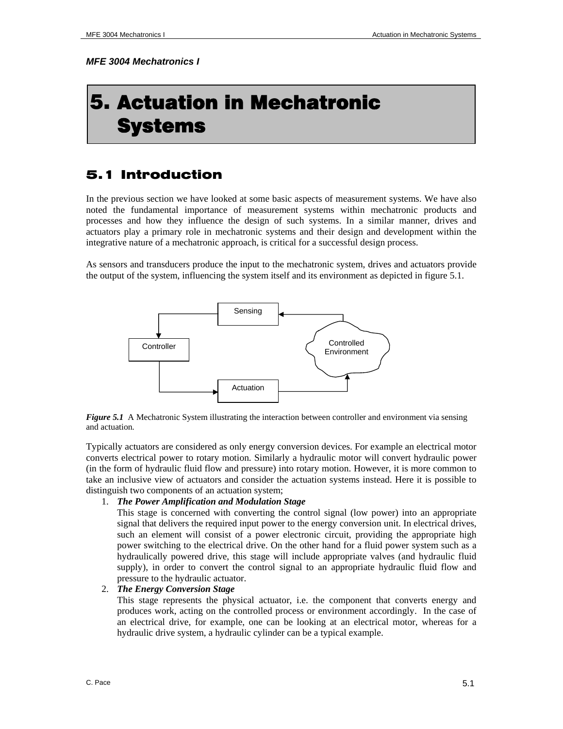*MFE 3004 Mechatronics I* 

# 5. Actuation in Mechatronic Systems

# 5.1 Introduction

In the previous section we have looked at some basic aspects of measurement systems. We have also noted the fundamental importance of measurement systems within mechatronic products and processes and how they influence the design of such systems. In a similar manner, drives and actuators play a primary role in mechatronic systems and their design and development within the integrative nature of a mechatronic approach, is critical for a successful design process.

As sensors and transducers produce the input to the mechatronic system, drives and actuators provide the output of the system, influencing the system itself and its environment as depicted in figure 5.1.



*Figure 5.1* A Mechatronic System illustrating the interaction between controller and environment via sensing and actuation*.* 

Typically actuators are considered as only energy conversion devices. For example an electrical motor converts electrical power to rotary motion. Similarly a hydraulic motor will convert hydraulic power (in the form of hydraulic fluid flow and pressure) into rotary motion. However, it is more common to take an inclusive view of actuators and consider the actuation systems instead. Here it is possible to distinguish two components of an actuation system;

#### 1. *The Power Amplification and Modulation Stage*

This stage is concerned with converting the control signal (low power) into an appropriate signal that delivers the required input power to the energy conversion unit. In electrical drives, such an element will consist of a power electronic circuit, providing the appropriate high power switching to the electrical drive. On the other hand for a fluid power system such as a hydraulically powered drive, this stage will include appropriate valves (and hydraulic fluid supply), in order to convert the control signal to an appropriate hydraulic fluid flow and pressure to the hydraulic actuator.

# 2. *The Energy Conversion Stage*

This stage represents the physical actuator, i.e. the component that converts energy and produces work, acting on the controlled process or environment accordingly. In the case of an electrical drive, for example, one can be looking at an electrical motor, whereas for a hydraulic drive system, a hydraulic cylinder can be a typical example.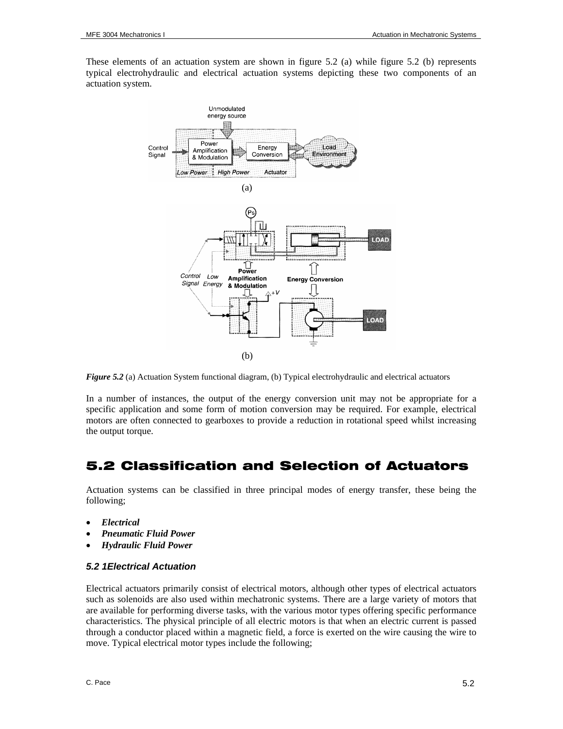These elements of an actuation system are shown in figure 5.2 (a) while figure 5.2 (b) represents typical electrohydraulic and electrical actuation systems depicting these two components of an actuation system.



*Figure 5.2* (a) Actuation System functional diagram, (b) Typical electrohydraulic and electrical actuators

In a number of instances, the output of the energy conversion unit may not be appropriate for a specific application and some form of motion conversion may be required. For example, electrical motors are often connected to gearboxes to provide a reduction in rotational speed whilst increasing the output torque.

# 5.2 Classification and Selection of Actuators

Actuation systems can be classified in three principal modes of energy transfer, these being the following;

- *Electrical*
- *Pneumatic Fluid Power*
- *Hydraulic Fluid Power*

#### *5.2 1Electrical Actuation*

Electrical actuators primarily consist of electrical motors, although other types of electrical actuators such as solenoids are also used within mechatronic systems. There are a large variety of motors that are available for performing diverse tasks, with the various motor types offering specific performance characteristics. The physical principle of all electric motors is that when an electric current is passed through a conductor placed within a magnetic field, a force is exerted on the wire causing the wire to move. Typical electrical motor types include the following;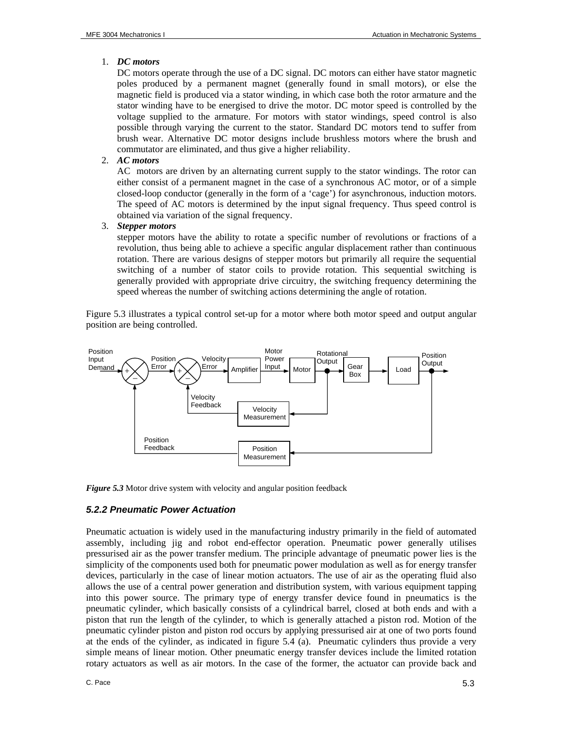## 1. *DC motors*

DC motors operate through the use of a DC signal. DC motors can either have stator magnetic poles produced by a permanent magnet (generally found in small motors), or else the magnetic field is produced via a stator winding, in which case both the rotor armature and the stator winding have to be energised to drive the motor. DC motor speed is controlled by the voltage supplied to the armature. For motors with stator windings, speed control is also possible through varying the current to the stator. Standard DC motors tend to suffer from brush wear. Alternative DC motor designs include brushless motors where the brush and commutator are eliminated, and thus give a higher reliability.

## 2. *AC motors*

AC motors are driven by an alternating current supply to the stator windings. The rotor can either consist of a permanent magnet in the case of a synchronous AC motor, or of a simple closed-loop conductor (generally in the form of a 'cage') for asynchronous, induction motors. The speed of AC motors is determined by the input signal frequency. Thus speed control is obtained via variation of the signal frequency.

#### 3. *Stepper motors*

stepper motors have the ability to rotate a specific number of revolutions or fractions of a revolution, thus being able to achieve a specific angular displacement rather than continuous rotation. There are various designs of stepper motors but primarily all require the sequential switching of a number of stator coils to provide rotation. This sequential switching is generally provided with appropriate drive circuitry, the switching frequency determining the speed whereas the number of switching actions determining the angle of rotation.

Figure 5.3 illustrates a typical control set-up for a motor where both motor speed and output angular position are being controlled.



*Figure 5.3* Motor drive system with velocity and angular position feedback

# *5.2.2 Pneumatic Power Actuation*

Pneumatic actuation is widely used in the manufacturing industry primarily in the field of automated assembly, including jig and robot end-effector operation. Pneumatic power generally utilises pressurised air as the power transfer medium. The principle advantage of pneumatic power lies is the simplicity of the components used both for pneumatic power modulation as well as for energy transfer devices, particularly in the case of linear motion actuators. The use of air as the operating fluid also allows the use of a central power generation and distribution system, with various equipment tapping into this power source. The primary type of energy transfer device found in pneumatics is the pneumatic cylinder, which basically consists of a cylindrical barrel, closed at both ends and with a piston that run the length of the cylinder, to which is generally attached a piston rod. Motion of the pneumatic cylinder piston and piston rod occurs by applying pressurised air at one of two ports found at the ends of the cylinder, as indicated in figure 5.4 (a). Pneumatic cylinders thus provide a very simple means of linear motion. Other pneumatic energy transfer devices include the limited rotation rotary actuators as well as air motors. In the case of the former, the actuator can provide back and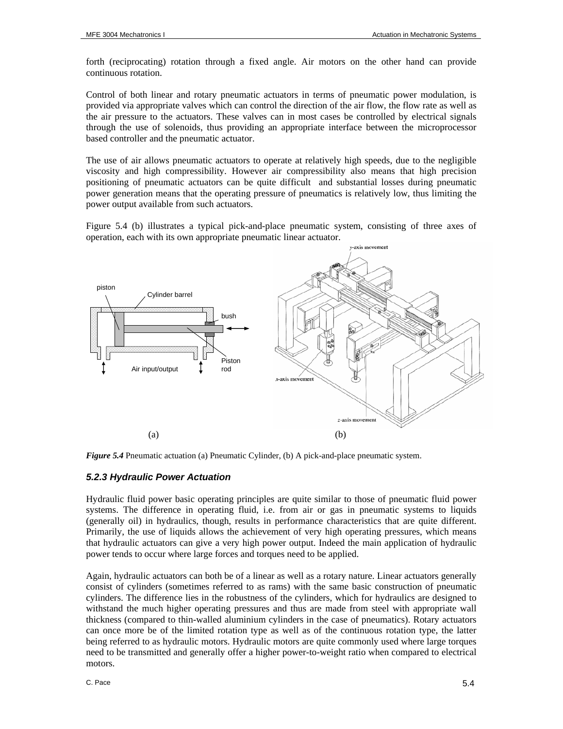forth (reciprocating) rotation through a fixed angle. Air motors on the other hand can provide continuous rotation.

Control of both linear and rotary pneumatic actuators in terms of pneumatic power modulation, is provided via appropriate valves which can control the direction of the air flow, the flow rate as well as the air pressure to the actuators. These valves can in most cases be controlled by electrical signals through the use of solenoids, thus providing an appropriate interface between the microprocessor based controller and the pneumatic actuator.

The use of air allows pneumatic actuators to operate at relatively high speeds, due to the negligible viscosity and high compressibility. However air compressibility also means that high precision positioning of pneumatic actuators can be quite difficult and substantial losses during pneumatic power generation means that the operating pressure of pneumatics is relatively low, thus limiting the power output available from such actuators.

Figure 5.4 (b) illustrates a typical pick-and-place pneumatic system, consisting of three axes of operation, each with its own appropriate pneumatic linear actuator.



*Figure 5.4* Pneumatic actuation (a) Pneumatic Cylinder, (b) A pick-and-place pneumatic system.

#### *5.2.3 Hydraulic Power Actuation*

Hydraulic fluid power basic operating principles are quite similar to those of pneumatic fluid power systems. The difference in operating fluid, i.e. from air or gas in pneumatic systems to liquids (generally oil) in hydraulics, though, results in performance characteristics that are quite different. Primarily, the use of liquids allows the achievement of very high operating pressures, which means that hydraulic actuators can give a very high power output. Indeed the main application of hydraulic power tends to occur where large forces and torques need to be applied.

Again, hydraulic actuators can both be of a linear as well as a rotary nature. Linear actuators generally consist of cylinders (sometimes referred to as rams) with the same basic construction of pneumatic cylinders. The difference lies in the robustness of the cylinders, which for hydraulics are designed to withstand the much higher operating pressures and thus are made from steel with appropriate wall thickness (compared to thin-walled aluminium cylinders in the case of pneumatics). Rotary actuators can once more be of the limited rotation type as well as of the continuous rotation type, the latter being referred to as hydraulic motors. Hydraulic motors are quite commonly used where large torques need to be transmitted and generally offer a higher power-to-weight ratio when compared to electrical motors.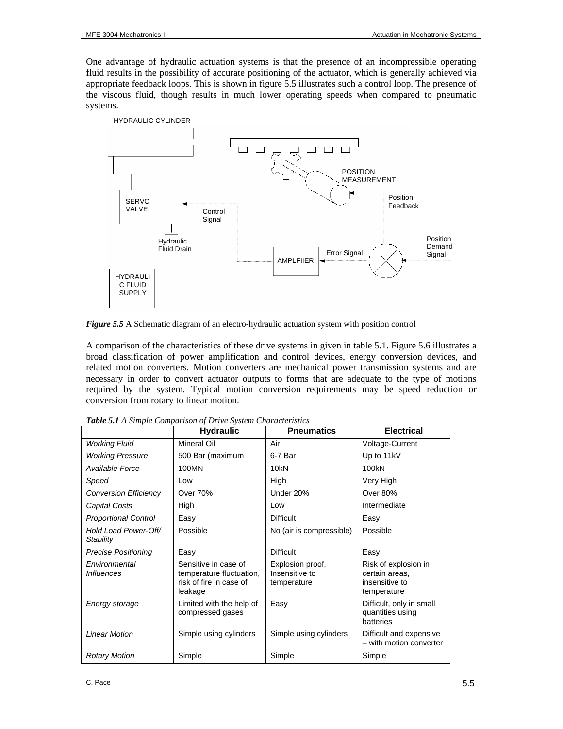One advantage of hydraulic actuation systems is that the presence of an incompressible operating fluid results in the possibility of accurate positioning of the actuator, which is generally achieved via appropriate feedback loops. This is shown in figure 5.5 illustrates such a control loop. The presence of the viscous fluid, though results in much lower operating speeds when compared to pneumatic systems.



*Figure 5.5* A Schematic diagram of an electro-hydraulic actuation system with position control

A comparison of the characteristics of these drive systems in given in table 5.1. Figure 5.6 illustrates a broad classification of power amplification and control devices, energy conversion devices, and related motion converters. Motion converters are mechanical power transmission systems and are necessary in order to convert actuator outputs to forms that are adequate to the type of motions required by the system. Typical motion conversion requirements may be speed reduction or conversion from rotary to linear motion.

|                                    | <b>Hydraulic</b>                                                                       | <b>Pneumatics</b>                                 | <b>Electrical</b>                                                       |
|------------------------------------|----------------------------------------------------------------------------------------|---------------------------------------------------|-------------------------------------------------------------------------|
| <b>Working Fluid</b>               | Mineral Oil                                                                            | Air                                               | Voltage-Current                                                         |
| <b>Working Pressure</b>            | 500 Bar (maximum                                                                       | 6-7 Bar                                           | Up to 11kV                                                              |
| Available Force                    | 100MN                                                                                  | 10 <sub>kN</sub>                                  | 100kN                                                                   |
| Speed                              | Low                                                                                    | High                                              | Very High                                                               |
| <b>Conversion Efficiency</b>       | <b>Over 70%</b>                                                                        | Under 20%                                         | Over 80%                                                                |
| Capital Costs                      | High                                                                                   | Low                                               | Intermediate                                                            |
| <b>Proportional Control</b>        | Easy                                                                                   | <b>Difficult</b>                                  | Easy                                                                    |
| Hold Load Power-Off/<br>Stability  | Possible                                                                               | No (air is compressible)                          | Possible                                                                |
| <b>Precise Positioning</b>         | Easy                                                                                   | <b>Difficult</b>                                  | Easy                                                                    |
| Environmental<br><i>Influences</i> | Sensitive in case of<br>temperature fluctuation,<br>risk of fire in case of<br>leakage | Explosion proof,<br>Insensitive to<br>temperature | Risk of explosion in<br>certain areas,<br>insensitive to<br>temperature |
| Energy storage                     | Limited with the help of<br>compressed gases                                           | Easy                                              | Difficult, only in small<br>quantities using<br>batteries               |
| <b>Linear Motion</b>               | Simple using cylinders                                                                 | Simple using cylinders                            | Difficult and expensive<br>- with motion converter                      |
| <b>Rotary Motion</b>               | Simple                                                                                 | Simple                                            | Simple                                                                  |

*Table 5.1 A Simple Comparison of Drive System Characteristics*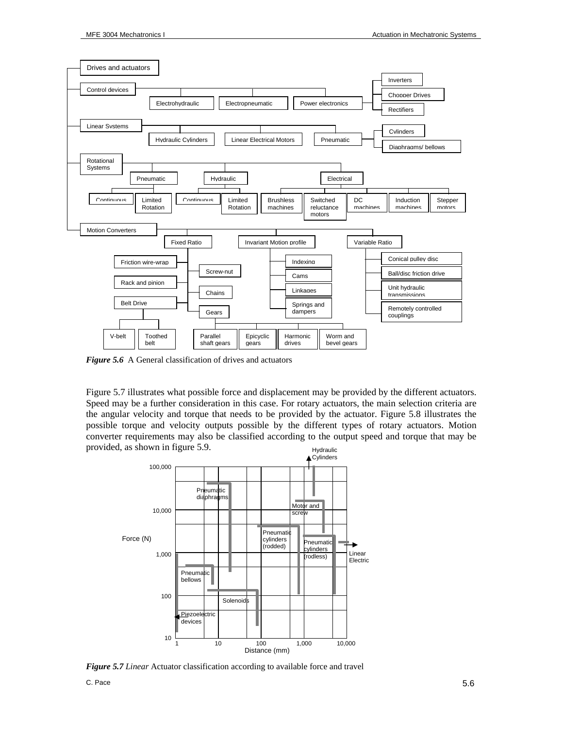

*Figure 5.6* A General classification of drives and actuators

Figure 5.7 illustrates what possible force and displacement may be provided by the different actuators. Speed may be a further consideration in this case. For rotary actuators, the main selection criteria are the angular velocity and torque that needs to be provided by the actuator. Figure 5.8 illustrates the possible torque and velocity outputs possible by the different types of rotary actuators. Motion converter requirements may also be classified according to the output speed and torque that may be provided, as shown in figure 5.9. Hydraulic



*Figure 5.7 Linear* Actuator classification according to available force and travel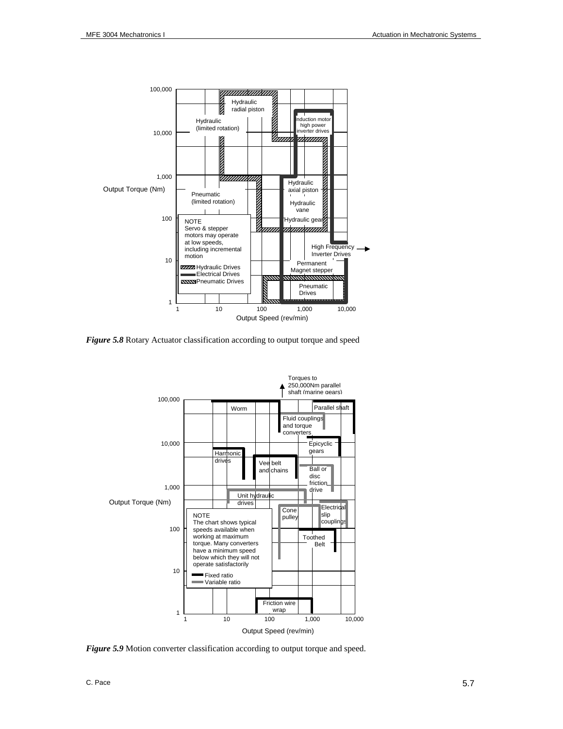

*Figure 5.8* Rotary Actuator classification according to output torque and speed



**Figure 5.9** Motion converter classification according to output torque and speed.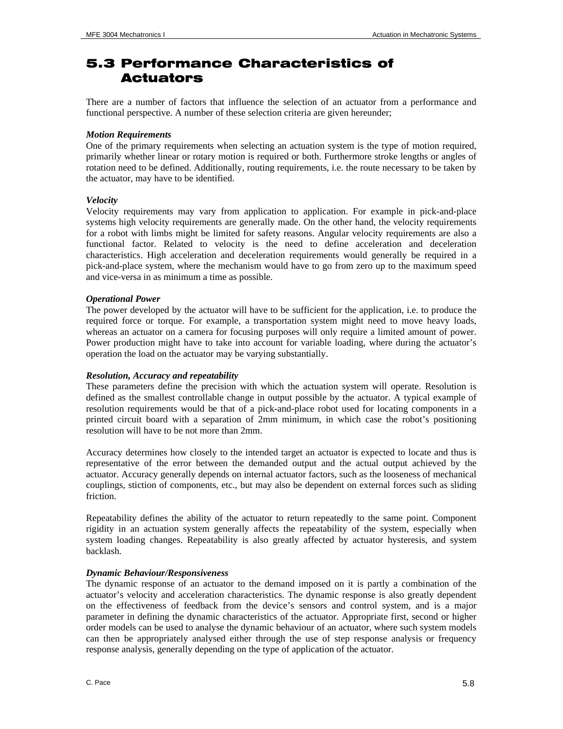# 5.3 Performance Characteristics of Actuators

There are a number of factors that influence the selection of an actuator from a performance and functional perspective. A number of these selection criteria are given hereunder;

#### *Motion Requirements*

One of the primary requirements when selecting an actuation system is the type of motion required, primarily whether linear or rotary motion is required or both. Furthermore stroke lengths or angles of rotation need to be defined. Additionally, routing requirements, i.e. the route necessary to be taken by the actuator, may have to be identified.

## *Velocity*

Velocity requirements may vary from application to application. For example in pick-and-place systems high velocity requirements are generally made. On the other hand, the velocity requirements for a robot with limbs might be limited for safety reasons. Angular velocity requirements are also a functional factor. Related to velocity is the need to define acceleration and deceleration characteristics. High acceleration and deceleration requirements would generally be required in a pick-and-place system, where the mechanism would have to go from zero up to the maximum speed and vice-versa in as minimum a time as possible.

#### *Operational Power*

The power developed by the actuator will have to be sufficient for the application, i.e. to produce the required force or torque. For example, a transportation system might need to move heavy loads, whereas an actuator on a camera for focusing purposes will only require a limited amount of power. Power production might have to take into account for variable loading, where during the actuator's operation the load on the actuator may be varying substantially.

#### *Resolution, Accuracy and repeatability*

These parameters define the precision with which the actuation system will operate. Resolution is defined as the smallest controllable change in output possible by the actuator. A typical example of resolution requirements would be that of a pick-and-place robot used for locating components in a printed circuit board with a separation of 2mm minimum, in which case the robot's positioning resolution will have to be not more than 2mm.

Accuracy determines how closely to the intended target an actuator is expected to locate and thus is representative of the error between the demanded output and the actual output achieved by the actuator. Accuracy generally depends on internal actuator factors, such as the looseness of mechanical couplings, stiction of components, etc., but may also be dependent on external forces such as sliding friction.

Repeatability defines the ability of the actuator to return repeatedly to the same point. Component rigidity in an actuation system generally affects the repeatability of the system, especially when system loading changes. Repeatability is also greatly affected by actuator hysteresis, and system backlash.

# *Dynamic Behaviour/Responsiveness*

The dynamic response of an actuator to the demand imposed on it is partly a combination of the actuator's velocity and acceleration characteristics. The dynamic response is also greatly dependent on the effectiveness of feedback from the device's sensors and control system, and is a major parameter in defining the dynamic characteristics of the actuator. Appropriate first, second or higher order models can be used to analyse the dynamic behaviour of an actuator, where such system models can then be appropriately analysed either through the use of step response analysis or frequency response analysis, generally depending on the type of application of the actuator.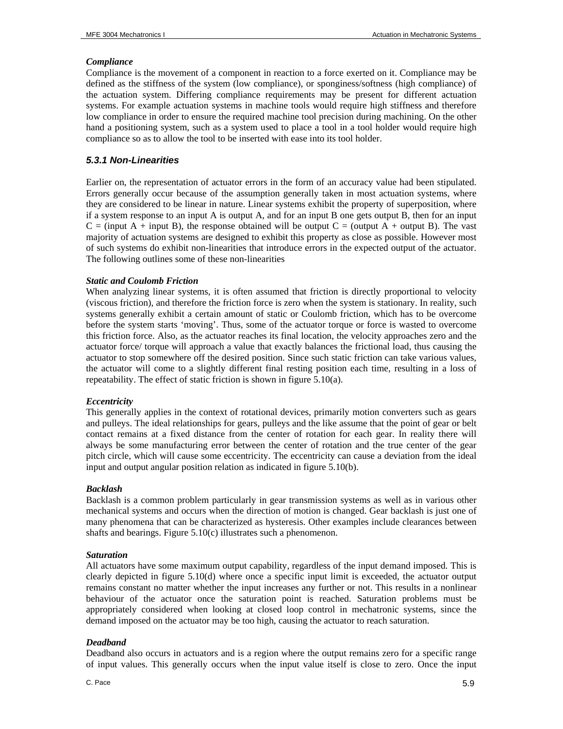#### *Compliance*

Compliance is the movement of a component in reaction to a force exerted on it. Compliance may be defined as the stiffness of the system (low compliance), or sponginess/softness (high compliance) of the actuation system. Differing compliance requirements may be present for different actuation systems. For example actuation systems in machine tools would require high stiffness and therefore low compliance in order to ensure the required machine tool precision during machining. On the other hand a positioning system, such as a system used to place a tool in a tool holder would require high compliance so as to allow the tool to be inserted with ease into its tool holder.

# *5.3.1 Non-Linearities*

Earlier on, the representation of actuator errors in the form of an accuracy value had been stipulated. Errors generally occur because of the assumption generally taken in most actuation systems, where they are considered to be linear in nature. Linear systems exhibit the property of superposition, where if a system response to an input A is output A, and for an input B one gets output B, then for an input  $C =$  (input A + input B), the response obtained will be output  $C =$  (output A + output B). The vast majority of actuation systems are designed to exhibit this property as close as possible. However most of such systems do exhibit non-linearities that introduce errors in the expected output of the actuator. The following outlines some of these non-linearities

## *Static and Coulomb Friction*

When analyzing linear systems, it is often assumed that friction is directly proportional to velocity (viscous friction), and therefore the friction force is zero when the system is stationary. In reality, such systems generally exhibit a certain amount of static or Coulomb friction, which has to be overcome before the system starts 'moving'. Thus, some of the actuator torque or force is wasted to overcome this friction force. Also, as the actuator reaches its final location, the velocity approaches zero and the actuator force/ torque will approach a value that exactly balances the frictional load, thus causing the actuator to stop somewhere off the desired position. Since such static friction can take various values, the actuator will come to a slightly different final resting position each time, resulting in a loss of repeatability. The effect of static friction is shown in figure 5.10(a).

#### *Eccentricity*

This generally applies in the context of rotational devices, primarily motion converters such as gears and pulleys. The ideal relationships for gears, pulleys and the like assume that the point of gear or belt contact remains at a fixed distance from the center of rotation for each gear. In reality there will always be some manufacturing error between the center of rotation and the true center of the gear pitch circle, which will cause some eccentricity. The eccentricity can cause a deviation from the ideal input and output angular position relation as indicated in figure 5.10(b).

#### *Backlash*

Backlash is a common problem particularly in gear transmission systems as well as in various other mechanical systems and occurs when the direction of motion is changed. Gear backlash is just one of many phenomena that can be characterized as hysteresis. Other examples include clearances between shafts and bearings. Figure 5.10(c) illustrates such a phenomenon.

#### *Saturation*

All actuators have some maximum output capability, regardless of the input demand imposed. This is clearly depicted in figure 5.10(d) where once a specific input limit is exceeded, the actuator output remains constant no matter whether the input increases any further or not. This results in a nonlinear behaviour of the actuator once the saturation point is reached. Saturation problems must be appropriately considered when looking at closed loop control in mechatronic systems, since the demand imposed on the actuator may be too high, causing the actuator to reach saturation.

#### *Deadband*

Deadband also occurs in actuators and is a region where the output remains zero for a specific range of input values. This generally occurs when the input value itself is close to zero. Once the input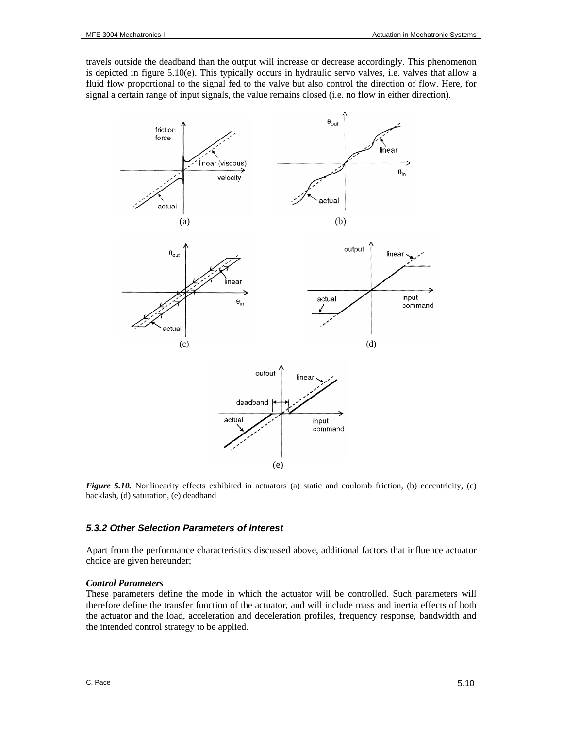travels outside the deadband than the output will increase or decrease accordingly. This phenomenon is depicted in figure 5.10(e). This typically occurs in hydraulic servo valves, i.e. valves that allow a fluid flow proportional to the signal fed to the valve but also control the direction of flow. Here, for signal a certain range of input signals, the value remains closed (i.e. no flow in either direction).



*Figure 5.10.* Nonlinearity effects exhibited in actuators (a) static and coulomb friction, (b) eccentricity, (c) backlash, (d) saturation, (e) deadband

#### *5.3.2 Other Selection Parameters of Interest*

Apart from the performance characteristics discussed above, additional factors that influence actuator choice are given hereunder;

#### *Control Parameters*

These parameters define the mode in which the actuator will be controlled. Such parameters will therefore define the transfer function of the actuator, and will include mass and inertia effects of both the actuator and the load, acceleration and deceleration profiles, frequency response, bandwidth and the intended control strategy to be applied.